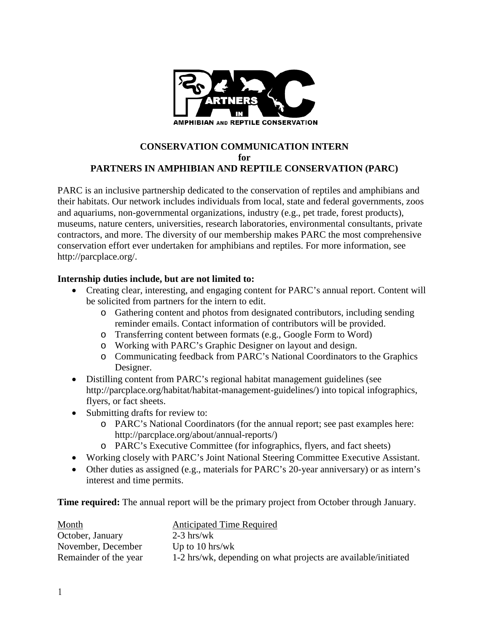

### **CONSERVATION COMMUNICATION INTERN for PARTNERS IN AMPHIBIAN AND REPTILE CONSERVATION (PARC)**

PARC is an inclusive partnership dedicated to the conservation of reptiles and amphibians and their habitats. Our network includes individuals from local, state and federal governments, zoos and aquariums, non-governmental organizations, industry (e.g., pet trade, forest products), museums, nature centers, universities, research laboratories, environmental consultants, private contractors, and more. The diversity of our membership makes PARC the most comprehensive conservation effort ever undertaken for amphibians and reptiles. For more information, see [http://parcplace.org/.](http://parcplace.org/)

## **Internship duties include, but are not limited to:**

- Creating clear, interesting, and engaging content for PARC's annual report. Content will be solicited from partners for the intern to edit.
	- o Gathering content and photos from designated contributors, including sending reminder emails. Contact information of contributors will be provided.
	- o Transferring content between formats (e.g., Google Form to Word)
	- o Working with PARC's Graphic Designer on layout and design.
	- o Communicating feedback from PARC's National Coordinators to the Graphics Designer.
- Distilling content from PARC's regional habitat management guidelines (see http://parcplace.org/habitat/habitat-management-guidelines/) into topical infographics, flyers, or fact sheets.
- Submitting drafts for review to:
	- o PARC's National Coordinators (for the annual report; see past examples here: http://parcplace.org/about/annual-reports/)
	- o PARC's Executive Committee (for infographics, flyers, and fact sheets)
- Working closely with PARC's Joint National Steering Committee Executive Assistant.
- Other duties as assigned (e.g., materials for PARC's 20-year anniversary) or as intern's interest and time permits.

**Time required:** The annual report will be the primary project from October through January.

| Month                 | <b>Anticipated Time Required</b>                               |
|-----------------------|----------------------------------------------------------------|
| October, January      | $2-3$ hrs/wk                                                   |
| November, December    | Up to 10 hrs/wk                                                |
| Remainder of the year | 1-2 hrs/wk, depending on what projects are available/initiated |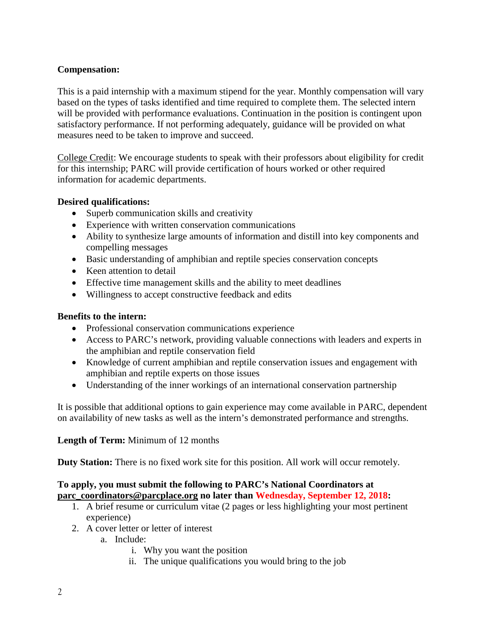## **Compensation:**

This is a paid internship with a maximum stipend for the year. Monthly compensation will vary based on the types of tasks identified and time required to complete them. The selected intern will be provided with performance evaluations. Continuation in the position is contingent upon satisfactory performance. If not performing adequately, guidance will be provided on what measures need to be taken to improve and succeed.

College Credit: We encourage students to speak with their professors about eligibility for credit for this internship; PARC will provide certification of hours worked or other required information for academic departments.

## **Desired qualifications:**

- Superb communication skills and creativity
- Experience with written conservation communications
- Ability to synthesize large amounts of information and distill into key components and compelling messages
- Basic understanding of amphibian and reptile species conservation concepts
- Keen attention to detail
- Effective time management skills and the ability to meet deadlines
- Willingness to accept constructive feedback and edits

## **Benefits to the intern:**

- Professional conservation communications experience
- Access to PARC's network, providing valuable connections with leaders and experts in the amphibian and reptile conservation field
- Knowledge of current amphibian and reptile conservation issues and engagement with amphibian and reptile experts on those issues
- Understanding of the inner workings of an international conservation partnership

It is possible that additional options to gain experience may come available in PARC, dependent on availability of new tasks as well as the intern's demonstrated performance and strengths.

## **Length of Term:** Minimum of 12 months

**Duty Station:** There is no fixed work site for this position. All work will occur remotely.

# **To apply, you must submit the following to PARC's National Coordinators at [parc\\_coordinators@parcplace.org](mailto:parc_coordinators@parcplace.org) no later than Wednesday, September 12, 2018:**

- 1. A brief resume or curriculum vitae (2 pages or less highlighting your most pertinent experience)
- 2. A cover letter or letter of interest
	- a. Include:
		- i. Why you want the position
		- ii. The unique qualifications you would bring to the job